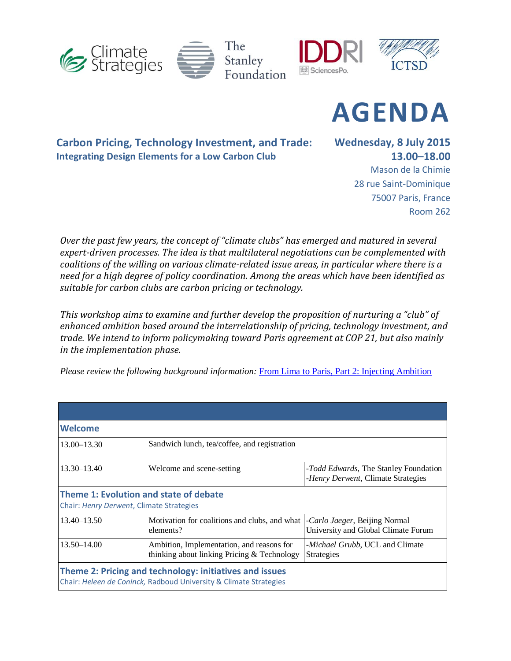



**AGENDA**

**Carbon Pricing, Technology Investment, and Trade: Integrating Design Elements for a Low Carbon Club**

**Wednesday, 8 July 2015 13.00–18.00** Mason de la Chimie

28 rue Saint-Dominique 75007 Paris, France Room 262

*Over the past few years, the concept of "climate clubs" has emerged and matured in several expert-driven processes. The idea is that multilateral negotiations can be complemented with coalitions of the willing on various climate-related issue areas, in particular where there is a need for a high degree of policy coordination. Among the areas which have been identified as suitable for carbon clubs are carbon pricing or technology.* 

*This workshop aims to examine and further develop the proposition of nurturing a "club" of enhanced ambition based around the interrelationship of pricing, technology investment, and trade. We intend to inform policymaking toward Paris agreement at COP 21, but also mainly in the implementation phase.* 

*Please review the following background information:* [From Lima to Paris, Part 2: Injecting Ambition](https://climatestrategies.wordpress.com/2015/06/15/from-lima-to-paris-part-2-injecting-ambition-michael-grubb-heleen-de-coninck-and-ambuj-d-sagar/)

| Welcome                                                                                                                      |                                                                                          |                                                                                     |  |  |
|------------------------------------------------------------------------------------------------------------------------------|------------------------------------------------------------------------------------------|-------------------------------------------------------------------------------------|--|--|
| $13.00 - 13.30$                                                                                                              | Sandwich lunch, tea/coffee, and registration                                             |                                                                                     |  |  |
| $13.30 - 13.40$                                                                                                              | Welcome and scene-setting                                                                | <i>-Todd Edwards</i> , The Stanley Foundation<br>-Henry Derwent, Climate Strategies |  |  |
| Theme 1: Evolution and state of debate<br>Chair: Henry Derwent, Climate Strategies                                           |                                                                                          |                                                                                     |  |  |
| $13.40 - 13.50$                                                                                                              | Motivation for coalitions and clubs, and what<br>elements?                               | -Carlo Jaeger, Beijing Normal<br>University and Global Climate Forum                |  |  |
| $13.50 - 14.00$                                                                                                              | Ambition, Implementation, and reasons for<br>thinking about linking Pricing & Technology | <i>-Michael Grubb</i> , UCL and Climate<br><b>Strategies</b>                        |  |  |
| Theme 2: Pricing and technology: initiatives and issues<br>Chair: Heleen de Coninck, Radboud University & Climate Strategies |                                                                                          |                                                                                     |  |  |